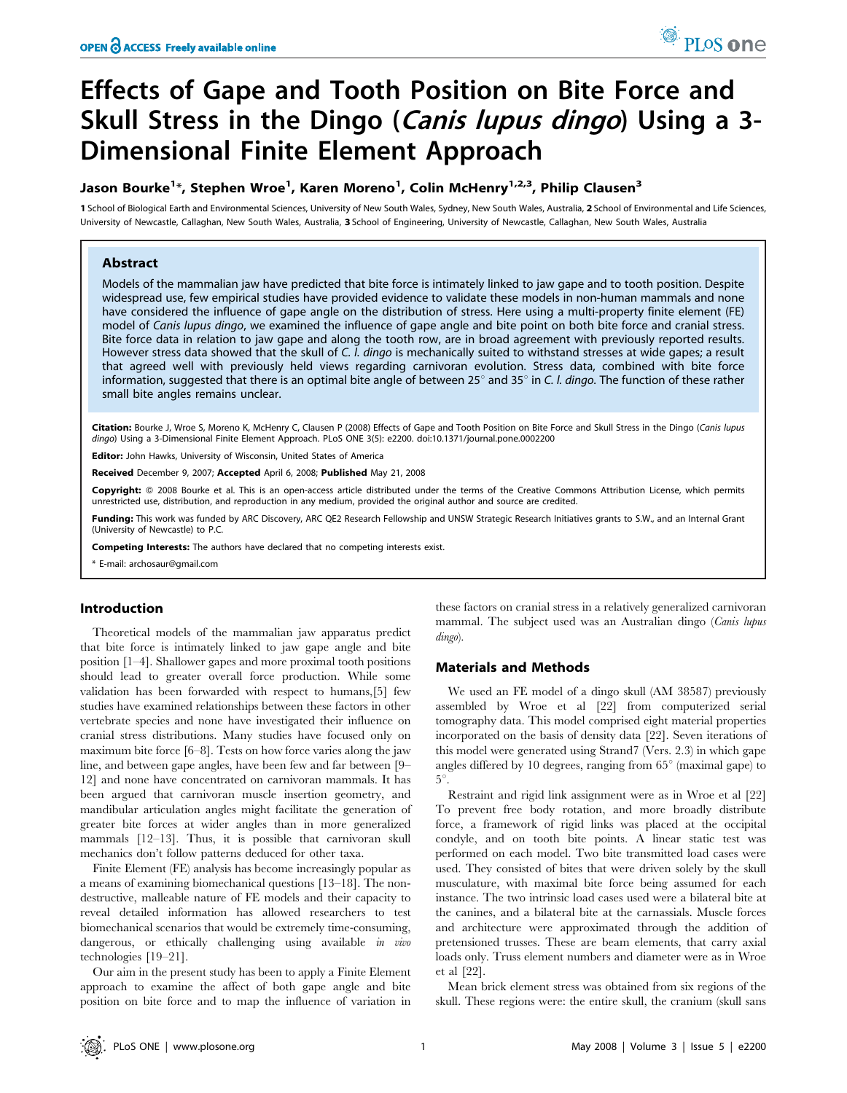# Effects of Gape and Tooth Position on Bite Force and Skull Stress in the Dingo (Canis lupus dingo) Using a 3-Dimensional Finite Element Approach

# Jason Bourke<sup>1</sup>\*, Stephen Wroe<sup>1</sup>, Karen Moreno<sup>1</sup>, Colin McHenry<sup>1,2,3</sup>, Philip Clausen<sup>3</sup>

1 School of Biological Earth and Environmental Sciences, University of New South Wales, Sydney, New South Wales, Australia, 2 School of Environmental and Life Sciences, University of Newcastle, Callaghan, New South Wales, Australia, 3 School of Engineering, University of Newcastle, Callaghan, New South Wales, Australia

# Abstract

Models of the mammalian jaw have predicted that bite force is intimately linked to jaw gape and to tooth position. Despite widespread use, few empirical studies have provided evidence to validate these models in non-human mammals and none have considered the influence of gape angle on the distribution of stress. Here using a multi-property finite element (FE) model of Canis lupus dingo, we examined the influence of gape angle and bite point on both bite force and cranial stress. Bite force data in relation to jaw gape and along the tooth row, are in broad agreement with previously reported results. However stress data showed that the skull of C. *l. dingo* is mechanically suited to withstand stresses at wide gapes; a result that agreed well with previously held views regarding carnivoran evolution. Stress data, combined with bite force information, suggested that there is an optimal bite angle of between 25 $^{\circ}$  and 35 $^{\circ}$  in C. *l. dingo*. The function of these rather small bite angles remains unclear.

Citation: Bourke J, Wroe S, Moreno K, McHenry C, Clausen P (2008) Effects of Gape and Tooth Position on Bite Force and Skull Stress in the Dingo (Canis lupus dingo) Using a 3-Dimensional Finite Element Approach. PLoS ONE 3(5): e2200. doi:10.1371/journal.pone.0002200

Editor: John Hawks, University of Wisconsin, United States of America

Received December 9, 2007; Accepted April 6, 2008; Published May 21, 2008

Copyright: @ 2008 Bourke et al. This is an open-access article distributed under the terms of the Creative Commons Attribution License, which permits unrestricted use, distribution, and reproduction in any medium, provided the original author and source are credited.

Funding: This work was funded by ARC Discovery, ARC QE2 Research Fellowship and UNSW Strategic Research Initiatives grants to S.W., and an Internal Grant (University of Newcastle) to P.C.

Competing Interests: The authors have declared that no competing interests exist.

\* E-mail: archosaur@gmail.com

# Introduction

Theoretical models of the mammalian jaw apparatus predict that bite force is intimately linked to jaw gape angle and bite position [1–4]. Shallower gapes and more proximal tooth positions should lead to greater overall force production. While some validation has been forwarded with respect to humans,[5] few studies have examined relationships between these factors in other vertebrate species and none have investigated their influence on cranial stress distributions. Many studies have focused only on maximum bite force [6–8]. Tests on how force varies along the jaw line, and between gape angles, have been few and far between [9– 12] and none have concentrated on carnivoran mammals. It has been argued that carnivoran muscle insertion geometry, and mandibular articulation angles might facilitate the generation of greater bite forces at wider angles than in more generalized mammals [12–13]. Thus, it is possible that carnivoran skull mechanics don't follow patterns deduced for other taxa.

Finite Element (FE) analysis has become increasingly popular as a means of examining biomechanical questions [13–18]. The nondestructive, malleable nature of FE models and their capacity to reveal detailed information has allowed researchers to test biomechanical scenarios that would be extremely time-consuming, dangerous, or ethically challenging using available in vivo technologies [19–21].

Our aim in the present study has been to apply a Finite Element approach to examine the affect of both gape angle and bite position on bite force and to map the influence of variation in these factors on cranial stress in a relatively generalized carnivoran mammal. The subject used was an Australian dingo (Canis lupus dingo).

# Materials and Methods

We used an FE model of a dingo skull (AM 38587) previously assembled by Wroe et al [22] from computerized serial tomography data. This model comprised eight material properties incorporated on the basis of density data [22]. Seven iterations of this model were generated using Strand7 (Vers. 2.3) in which gape angles differed by 10 degrees, ranging from  $65^{\circ}$  (maximal gape) to  $5^\circ$ .

Restraint and rigid link assignment were as in Wroe et al [22] To prevent free body rotation, and more broadly distribute force, a framework of rigid links was placed at the occipital condyle, and on tooth bite points. A linear static test was performed on each model. Two bite transmitted load cases were used. They consisted of bites that were driven solely by the skull musculature, with maximal bite force being assumed for each instance. The two intrinsic load cases used were a bilateral bite at the canines, and a bilateral bite at the carnassials. Muscle forces and architecture were approximated through the addition of pretensioned trusses. These are beam elements, that carry axial loads only. Truss element numbers and diameter were as in Wroe et al [22].

Mean brick element stress was obtained from six regions of the skull. These regions were: the entire skull, the cranium (skull sans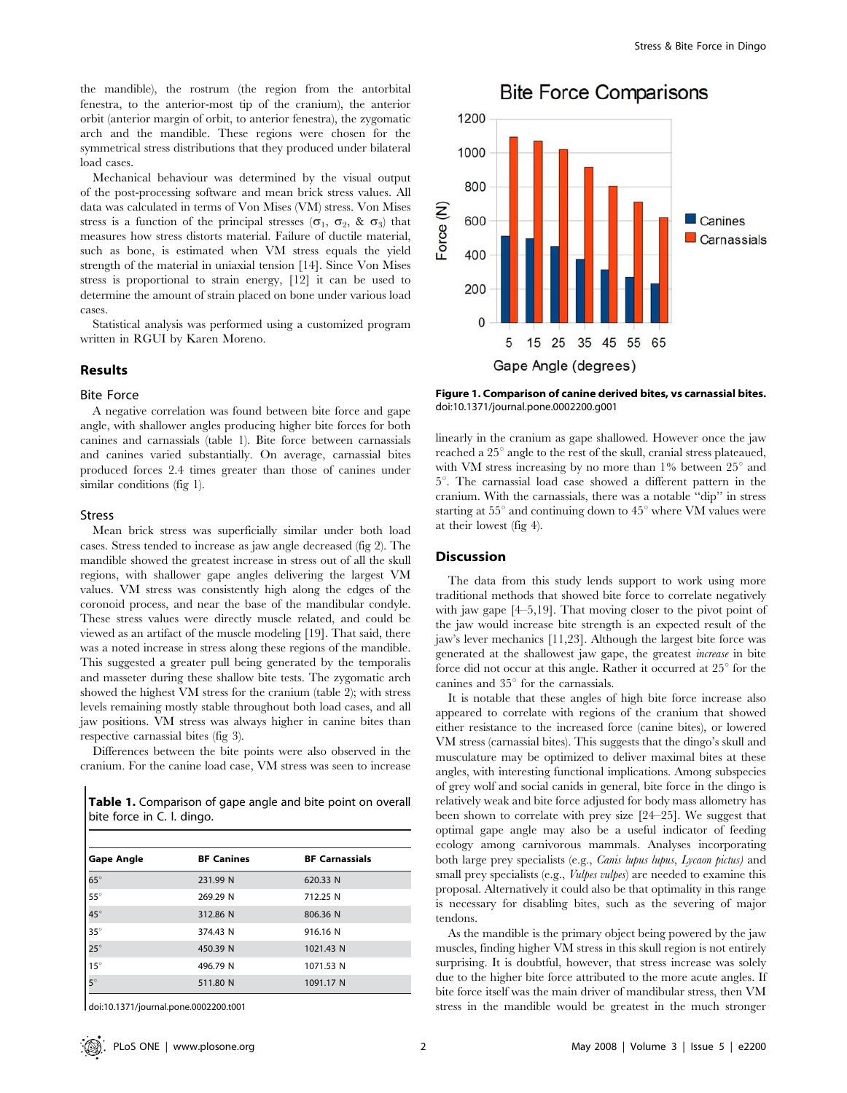the mandible), the rostrum (the region from the antorbital fenestra, to the anterior-most tip of the cranium), the anterior orbit (anterior margin of orbit, to anterior fenestra), the zygomatic arch and the mandible. These regions were chosen for the symmetrical stress distributions that they produced under bilateral load cases.

Mechanical behaviour was determined by the visual output of the post-processing software and mean brick stress values. All data was calculated in terms of Von Mises (VM) stress. Von Mises stress is a function of the principal stresses ( $\sigma_1$ ,  $\sigma_2$ , &  $\sigma_3$ ) that measures how stress distorts material. Failure of ductile material, such as bone, is estimated when VM stress equals the yield strength of the material in uniaxial tension [14]. Since Von Mises stress is proportional to strain energy, [12] it can be used to determine the amount of strain placed on bone under various load cases.

Statistical analysis was performed using a customized program written in RGUI by Karen Moreno.

# Results

#### Bite Force

A negative correlation was found between bite force and gape angle, with shallower angles producing higher bite forces for both canines and carnassials (table 1). Bite force between carnassials and canines varied substantially. On average, carnassial bites produced forces 2.4 times greater than those of canines under similar conditions (fig 1).

#### Stress

Mean brick stress was superficially similar under both load cases. Stress tended to increase as jaw angle decreased (fig 2). The mandible showed the greatest increase in stress out of all the skull regions, with shallower gape angles delivering the largest VM values. VM stress was consistently high along the edges of the coronoid process, and near the base of the mandibular condyle. These stress values were directly muscle related, and could be viewed as an artifact of the muscle modeling [19]. That said, there was a noted increase in stress along these regions of the mandible. This suggested a greater pull being generated by the temporalis and masseter during these shallow bite tests. The zygomatic arch showed the highest VM stress for the cranium (table 2); with stress levels remaining mostly stable throughout both load cases, and all jaw positions. VM stress was always higher in canine bites than respective carnassial bites (fig 3).

Differences between the bite points were also observed in the cranium. For the canine load case, VM stress was seen to increase

Table 1. Comparison of gape angle and bite point on overall bite force in C. l. dingo.

| <b>Gape Angle</b> | <b>BF Canines</b> | <b>BF Carnassials</b> |
|-------------------|-------------------|-----------------------|
| $65^{\circ}$      | 231.99 N          | 620.33 N              |
| $55^{\circ}$      | 269.29 N          | 712.25 N              |
| $45^\circ$        | 312.86 N          | 806.36 N              |
| $35^\circ$        | 374.43 N          | 916.16 N              |
| $25^\circ$        | 450.39 N          | 1021.43 N             |
| $15^\circ$        | 496.79 N          | 1071.53 N             |
| $5^\circ$         | 511.80 N          | 1091.17 N             |

doi:10.1371/journal.pone.0002200.t001

1200 1000 800 Force (N) 600 Canines Carnassials 400 200  $\mathbf 0$ 15 25 35 45 55 65 5 Gape Angle (degrees)

**Bite Force Comparisons** 

Figure 1. Comparison of canine derived bites, vs carnassial bites. doi:10.1371/journal.pone.0002200.g001

linearly in the cranium as gape shallowed. However once the jaw reached a  $25^\circ$  angle to the rest of the skull, cranial stress plateaued, with VM stress increasing by no more than 1% between  $25^{\circ}$  and  $5^\circ$ . The carnassial load case showed a different pattern in the cranium. With the carnassials, there was a notable ''dip'' in stress starting at  $55^{\circ}$  and continuing down to  $45^{\circ}$  where VM values were at their lowest (fig 4).

# **Discussion**

The data from this study lends support to work using more traditional methods that showed bite force to correlate negatively with jaw gape [4–5,19]. That moving closer to the pivot point of the jaw would increase bite strength is an expected result of the jaw's lever mechanics [11,23]. Although the largest bite force was generated at the shallowest jaw gape, the greatest increase in bite force did not occur at this angle. Rather it occurred at  $25^{\circ}$  for the canines and  $35^\circ$  for the carnassials.

It is notable that these angles of high bite force increase also appeared to correlate with regions of the cranium that showed either resistance to the increased force (canine bites), or lowered VM stress (carnassial bites). This suggests that the dingo's skull and musculature may be optimized to deliver maximal bites at these angles, with interesting functional implications. Among subspecies of grey wolf and social canids in general, bite force in the dingo is relatively weak and bite force adjusted for body mass allometry has been shown to correlate with prey size [24–25]. We suggest that optimal gape angle may also be a useful indicator of feeding ecology among carnivorous mammals. Analyses incorporating both large prey specialists (e.g., Canis lupus lupus, Lycaon pictus) and small prey specialists (e.g., *Vulpes vulpes*) are needed to examine this proposal. Alternatively it could also be that optimality in this range is necessary for disabling bites, such as the severing of major tendons.

As the mandible is the primary object being powered by the jaw muscles, finding higher VM stress in this skull region is not entirely surprising. It is doubtful, however, that stress increase was solely due to the higher bite force attributed to the more acute angles. If bite force itself was the main driver of mandibular stress, then VM stress in the mandible would be greatest in the much stronger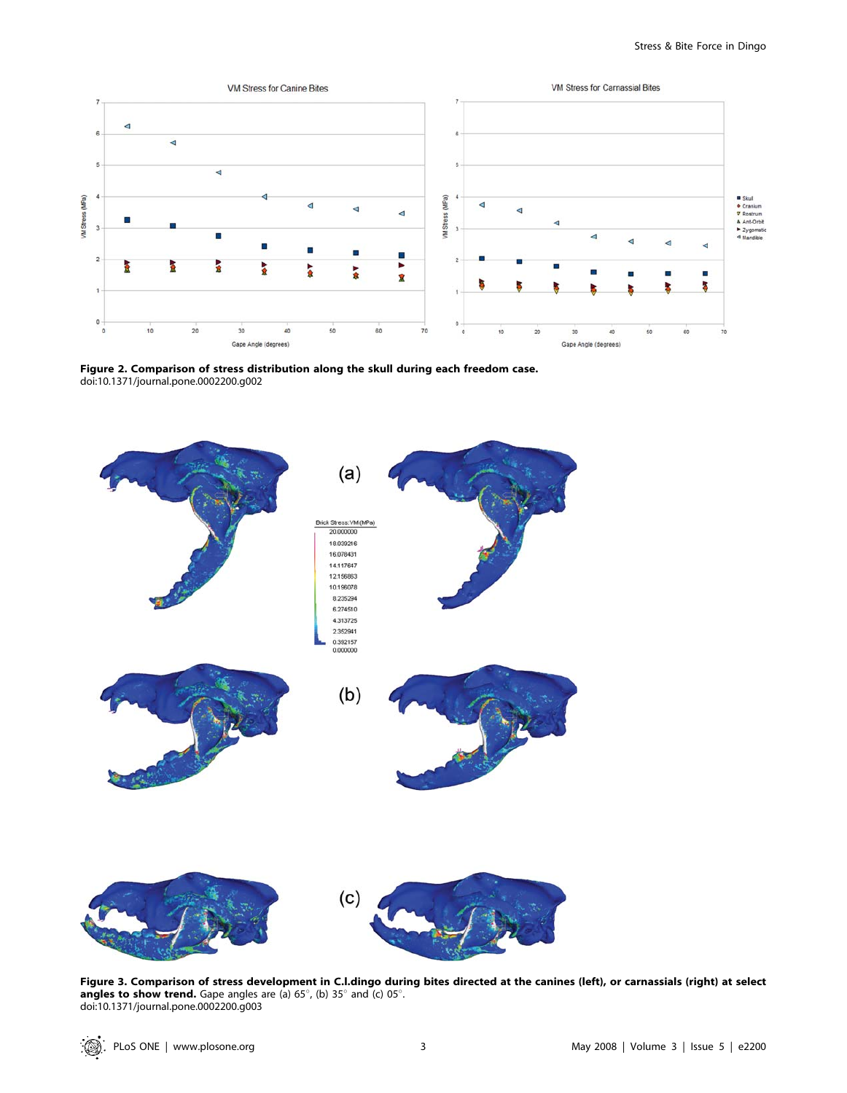

Figure 2. Comparison of stress distribution along the skull during each freedom case. doi:10.1371/journal.pone.0002200.g002



Figure 3. Comparison of stress development in C.l.dingo during bites directed at the canines (left), or carnassials (right) at select angles to show trend. Gape angles are (a) 65 $^{\circ}$ , (b) 35 $^{\circ}$  and (c) 05 $^{\circ}$ . doi:10.1371/journal.pone.0002200.g003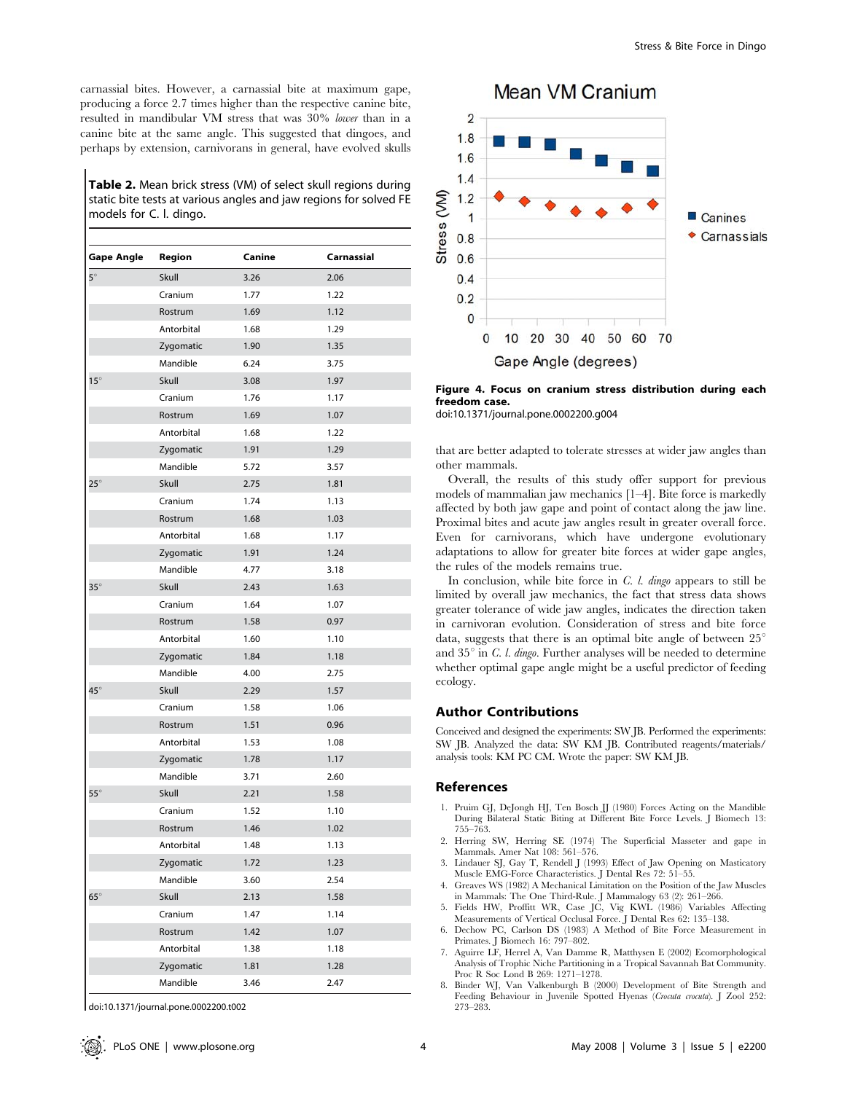carnassial bites. However, a carnassial bite at maximum gape, producing a force 2.7 times higher than the respective canine bite, resulted in mandibular VM stress that was 30% lower than in a canine bite at the same angle. This suggested that dingoes, and perhaps by extension, carnivorans in general, have evolved skulls

Table 2. Mean brick stress (VM) of select skull regions during static bite tests at various angles and jaw regions for solved FE models for C. l. dingo.

| <b>Gape Angle</b> | Region     | Canine | Carnassial |
|-------------------|------------|--------|------------|
| $5^\circ$         | Skull      | 3.26   | 2.06       |
|                   | Cranium    | 1.77   | 1.22       |
|                   | Rostrum    | 1.69   | 1.12       |
|                   | Antorbital | 1.68   | 1.29       |
|                   | Zygomatic  | 1.90   | 1.35       |
|                   | Mandible   | 6.24   | 3.75       |
| $15^\circ$        | Skull      | 3.08   | 1.97       |
|                   | Cranium    | 1.76   | 1.17       |
|                   | Rostrum    | 1.69   | 1.07       |
|                   | Antorbital | 1.68   | 1.22       |
|                   | Zygomatic  | 1.91   | 1.29       |
|                   | Mandible   | 5.72   | 3.57       |
| $25^\circ$        | Skull      | 2.75   | 1.81       |
|                   | Cranium    | 1.74   | 1.13       |
|                   | Rostrum    | 1.68   | 1.03       |
|                   | Antorbital | 1.68   | 1.17       |
|                   | Zygomatic  | 1.91   | 1.24       |
|                   | Mandible   | 4.77   | 3.18       |
| $35^\circ$        | Skull      | 2.43   | 1.63       |
|                   | Cranium    | 1.64   | 1.07       |
|                   | Rostrum    | 1.58   | 0.97       |
|                   | Antorbital | 1.60   | 1.10       |
|                   | Zygomatic  | 1.84   | 1.18       |
|                   | Mandible   | 4.00   | 2.75       |
| $45^\circ$        | Skull      | 2.29   | 1.57       |
|                   | Cranium    | 1.58   | 1.06       |
|                   | Rostrum    | 1.51   | 0.96       |
|                   | Antorbital | 1.53   | 1.08       |
|                   | Zygomatic  | 1.78   | 1.17       |
|                   | Mandible   | 3.71   | 2.60       |
| $55^{\circ}$      | Skull      | 2.21   | 1.58       |
|                   | Cranium    | 1.52   | 1.10       |
|                   | Rostrum    | 1.46   | 1.02       |
|                   | Antorbital | 1.48   | 1.13       |
|                   | Zygomatic  | 1.72   | 1.23       |
|                   | Mandible   | 3.60   | 2.54       |
| $65^\circ$        | Skull      | 2.13   | 1.58       |
|                   | Cranium    | 1.47   | 1.14       |
|                   | Rostrum    | 1.42   | 1.07       |
|                   | Antorbital | 1.38   | 1.18       |
|                   | Zygomatic  | 1.81   | 1.28       |
|                   | Mandible   | 3.46   | 2.47       |

doi:10.1371/journal.pone.0002200.t002



Figure 4. Focus on cranium stress distribution during each freedom case.

doi:10.1371/journal.pone.0002200.g004

that are better adapted to tolerate stresses at wider jaw angles than other mammals.

Overall, the results of this study offer support for previous models of mammalian jaw mechanics [1–4]. Bite force is markedly affected by both jaw gape and point of contact along the jaw line. Proximal bites and acute jaw angles result in greater overall force. Even for carnivorans, which have undergone evolutionary adaptations to allow for greater bite forces at wider gape angles, the rules of the models remains true.

In conclusion, while bite force in  $C.$  *l. dingo* appears to still be limited by overall jaw mechanics, the fact that stress data shows greater tolerance of wide jaw angles, indicates the direction taken in carnivoran evolution. Consideration of stress and bite force data, suggests that there is an optimal bite angle of between  $25^\circ$ and  $35^{\circ}$  in *C. l. dingo*. Further analyses will be needed to determine whether optimal gape angle might be a useful predictor of feeding ecology.

#### Author Contributions

Conceived and designed the experiments: SW JB. Performed the experiments: SW JB. Analyzed the data: SW KM JB. Contributed reagents/materials/ analysis tools: KM PC CM. Wrote the paper: SW KM JB.

#### References

- 1. Pruim GJ, DeJongh HJ, Ten Bosch JJ (1980) Forces Acting on the Mandible During Bilateral Static Biting at Different Bite Force Levels. J Biomech 13: 755–763.
- 2. Herring SW, Herring SE (1974) The Superficial Masseter and gape in Mammals. Amer Nat 108: 561–576.
- 3. Lindauer SJ, Gay T, Rendell J (1993) Effect of Jaw Opening on Masticatory Muscle EMG-Force Characteristics. J Dental Res 72: 51–55.
- 4. Greaves WS (1982) A Mechanical Limitation on the Position of the Jaw Muscles in Mammals: The One Third-Rule. J Mammalogy 63 (2): 261–266. 5. Fields HW, Proffitt WR, Case JC, Vig KWL (1986) Variables Affecting
- Measurements of Vertical Occlusal Force. J Dental Res 62: 135–138. 6. Dechow PC, Carlson DS (1983) A Method of Bite Force Measurement in
- Primates. J Biomech 16: 797–802.
- 7. Aguirre LF, Herrel A, Van Damme R, Matthysen E (2002) Ecomorphological Analysis of Trophic Niche Partitioning in a Tropical Savannah Bat Community. Proc R Soc Lond B 269: 1271–1278.
- 8. Binder WJ, Van Valkenburgh B (2000) Development of Bite Strength and Feeding Behaviour in Juvenile Spotted Hyenas (Crocuta crocuta). J Zool 252: 273–283.